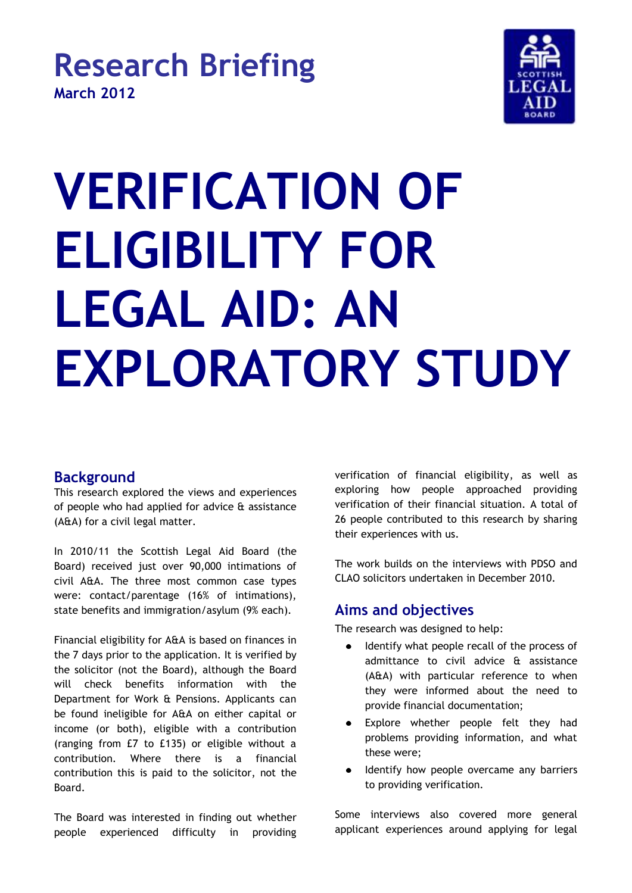

# **VERIFICATION OF ELIGIBILITY FOR LEGAL AID: AN EXPLORATORY STUDY**

# **Background**

This research explored the views and experiences of people who had applied for advice & assistance (A&A) for a civil legal matter.

In 2010/11 the Scottish Legal Aid Board (the Board) received just over 90,000 intimations of civil A&A. The three most common case types were: contact/parentage (16% of intimations), state benefits and immigration/asylum (9% each).

Financial eligibility for A&A is based on finances in the 7 days prior to the application. It is verified by the solicitor (not the Board), although the Board will check benefits information with the Department for Work & Pensions. Applicants can be found ineligible for A&A on either capital or income (or both), eligible with a contribution (ranging from £7 to £135) or eligible without a contribution. Where there is a financial contribution this is paid to the solicitor, not the Board.

The Board was interested in finding out whether people experienced difficulty in providing verification of financial eligibility, as well as exploring how people approached providing verification of their financial situation. A total of 26 people contributed to this research by sharing their experiences with us.

The work builds on the interviews with PDSO and CLAO solicitors undertaken in December 2010.

# **Aims and objectives**

The research was designed to help:

- Identify what people recall of the process of admittance to civil advice & assistance (A&A) with particular reference to when they were informed about the need to provide financial documentation;
- $\bullet$ Explore whether people felt they had problems providing information, and what these were;
- Identify how people overcame any barriers to providing verification.

Some interviews also covered more general applicant experiences around applying for legal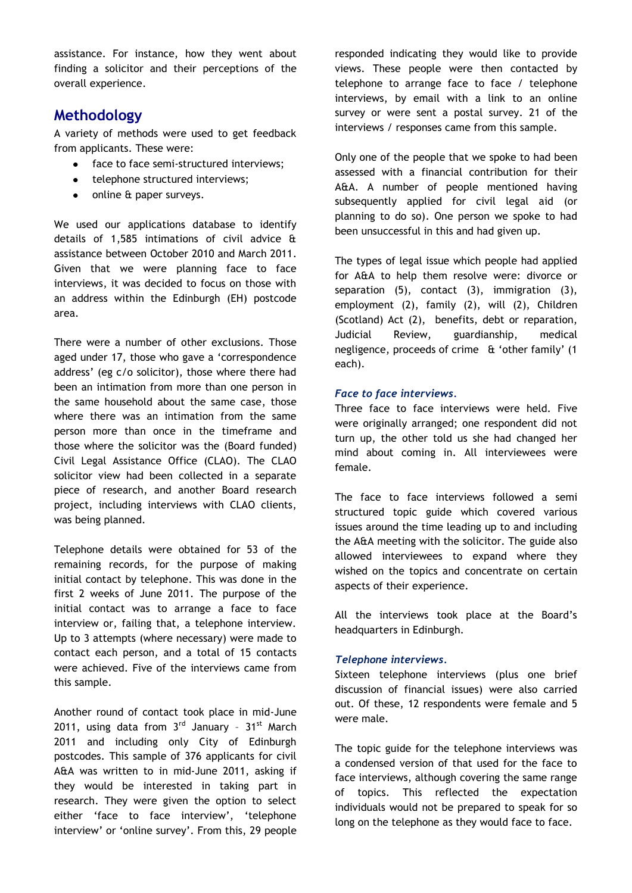assistance. For instance, how they went about finding a solicitor and their perceptions of the overall experience.

## **Methodology**

A variety of methods were used to get feedback from applicants. These were:

- $\bullet$ face to face semi-structured interviews;
- telephone structured interviews;
- online & paper surveys.  $\bullet$

We used our applications database to identify details of 1,585 intimations of civil advice & assistance between October 2010 and March 2011. Given that we were planning face to face interviews, it was decided to focus on those with an address within the Edinburgh (EH) postcode area.

There were a number of other exclusions. Those aged under 17, those who gave a 'correspondence address' (eg c/o solicitor), those where there had been an intimation from more than one person in the same household about the same case, those where there was an intimation from the same person more than once in the timeframe and those where the solicitor was the (Board funded) Civil Legal Assistance Office (CLAO). The CLAO solicitor view had been collected in a separate piece of research, and another Board research project, including interviews with CLAO clients, was being planned.

Telephone details were obtained for 53 of the remaining records, for the purpose of making initial contact by telephone. This was done in the first 2 weeks of June 2011. The purpose of the initial contact was to arrange a face to face interview or, failing that, a telephone interview. Up to 3 attempts (where necessary) were made to contact each person, and a total of 15 contacts were achieved. Five of the interviews came from this sample.

Another round of contact took place in mid-June 2011, using data from  $3^{rd}$  January -  $31^{st}$  March 2011 and including only City of Edinburgh postcodes. This sample of 376 applicants for civil A&A was written to in mid-June 2011, asking if they would be interested in taking part in research. They were given the option to select either 'face to face interview', 'telephone interview' or 'online survey'. From this, 29 people

responded indicating they would like to provide views. These people were then contacted by telephone to arrange face to face / telephone interviews, by email with a link to an online survey or were sent a postal survey. 21 of the interviews / responses came from this sample.

Only one of the people that we spoke to had been assessed with a financial contribution for their A&A. A number of people mentioned having subsequently applied for civil legal aid (or planning to do so). One person we spoke to had been unsuccessful in this and had given up.

The types of legal issue which people had applied for A&A to help them resolve were: divorce or separation (5), contact (3), immigration (3), employment (2), family (2), will (2), Children (Scotland) Act (2), benefits, debt or reparation, Judicial Review, guardianship, medical negligence, proceeds of crime & 'other family' (1 each).

#### *Face to face interviews.*

Three face to face interviews were held. Five were originally arranged; one respondent did not turn up, the other told us she had changed her mind about coming in. All interviewees were female.

The face to face interviews followed a semi structured topic guide which covered various issues around the time leading up to and including the A&A meeting with the solicitor. The guide also allowed interviewees to expand where they wished on the topics and concentrate on certain aspects of their experience.

All the interviews took place at the Board's headquarters in Edinburgh.

#### *Telephone interviews.*

Sixteen telephone interviews (plus one brief discussion of financial issues) were also carried out. Of these, 12 respondents were female and 5 were male.

The topic guide for the telephone interviews was a condensed version of that used for the face to face interviews, although covering the same range of topics. This reflected the expectation individuals would not be prepared to speak for so long on the telephone as they would face to face.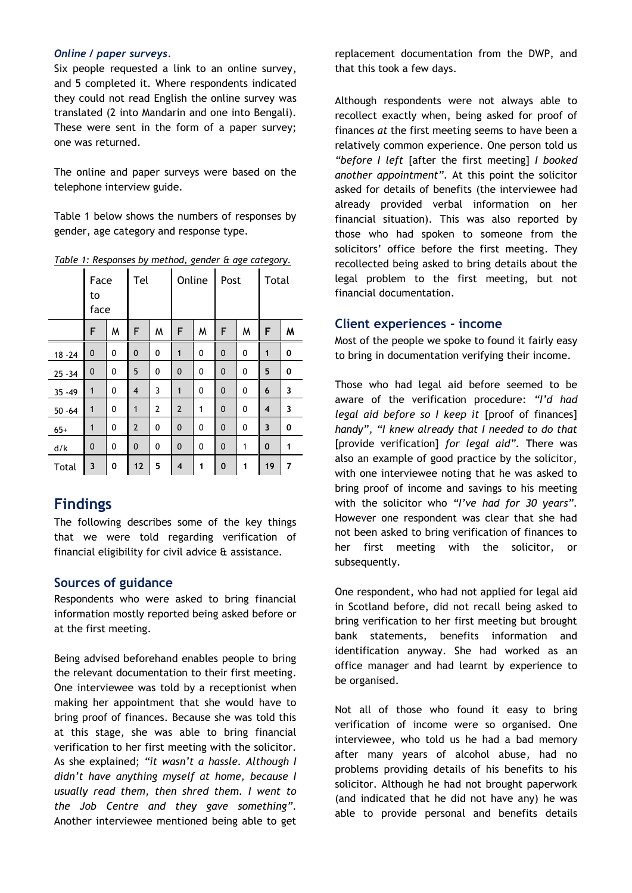#### *Online / paper surveys.*

Six people requested a link to an online survey, and 5 completed it. Where respondents indicated they could not read English the online survey was translated (2 into Mandarin and one into Bengali). These were sent in the form of a paper survey; one was returned.

The online and paper surveys were based on the telephone interview guide.

Table 1 below shows the numbers of responses by gender, age category and response type.

|              | Face<br>to<br>face |   | Tel            |   | Online         |              | Post         |   | Total |   |
|--------------|--------------------|---|----------------|---|----------------|--------------|--------------|---|-------|---|
|              | F                  | M | F              | M | F              | W            | F            | W | F     | M |
| $18 - 24$    | $\mathbf{0}$       | 0 | 0              | 0 | 1              | $\mathbf{0}$ | $\mathbf{0}$ | 0 | 1     | 0 |
| $25 - 34$    | 0                  | 0 | 5              | 0 | 0              | 0            | 0            | 0 | 5     | 0 |
| $35 - 49$    | $\mathbf{1}$       | 0 | 4              | 3 | 1              | 0            | $\mathbf 0$  | 0 | 6     | 3 |
| $50 - 64$    | $\mathbf{1}$       | 0 | $\mathbf{1}$   | 2 | $\overline{2}$ | $\mathbf{1}$ | $\mathbf{0}$ | 0 | 4     | 3 |
| $65+$        | $\mathbf{1}$       | 0 | $\overline{2}$ | 0 | 0              | 0            | 0            | 0 | 3     | 0 |
| d/k          | 0                  | 0 | 0              | 0 | 0              | 0            | 0            | 1 | 0     | 1 |
| <b>Total</b> | 3                  | 0 | 12             | 5 | 4              | 1            | 0            | 1 | 19    | 7 |

*Table 1: Responses by method, gender & age category.*

# **Findings**

The following describes some of the key things that we were told regarding verification of financial eligibility for civil advice & assistance.

## **Sources of guidance**

Respondents who were asked to bring financial information mostly reported being asked before or at the first meeting.

Being advised beforehand enables people to bring the relevant documentation to their first meeting. One interviewee was told by a receptionist when making her appointment that she would have to bring proof of finances. Because she was told this at this stage, she was able to bring financial verification to her first meeting with the solicitor. As she explained; *"it wasn't a hassle. Although I didn't have anything myself at home, because I usually read them, then shred them. I went to the Job Centre and they gave something".* Another interviewee mentioned being able to get

replacement documentation from the DWP, and that this took a few days.

Although respondents were not always able to recollect exactly when, being asked for proof of finances *at* the first meeting seems to have been a relatively common experience. One person told us *"before I left* [after the first meeting] *I booked another appointment".* At this point the solicitor asked for details of benefits (the interviewee had already provided verbal information on her financial situation). This was also reported by those who had spoken to someone from the solicitors' office before the first meeting. They recollected being asked to bring details about the legal problem to the first meeting, but not financial documentation.

### **Client experiences - income**

Most of the people we spoke to found it fairly easy to bring in documentation verifying their income.

Those who had legal aid before seemed to be aware of the verification procedure: *"I'd had legal aid before so I keep it* [proof of finances] *handy", "I knew already that I needed to do that*  [provide verification] *for legal aid".* There was also an example of good practice by the solicitor, with one interviewee noting that he was asked to bring proof of income and savings to his meeting with the solicitor who *"I've had for 30 years".* However one respondent was clear that she had not been asked to bring verification of finances to her first meeting with the solicitor, or subsequently.

One respondent, who had not applied for legal aid in Scotland before, did not recall being asked to bring verification to her first meeting but brought bank statements, benefits information and identification anyway. She had worked as an office manager and had learnt by experience to be organised.

Not all of those who found it easy to bring verification of income were so organised. One interviewee, who told us he had a bad memory after many years of alcohol abuse, had no problems providing details of his benefits to his solicitor. Although he had not brought paperwork (and indicated that he did not have any) he was able to provide personal and benefits details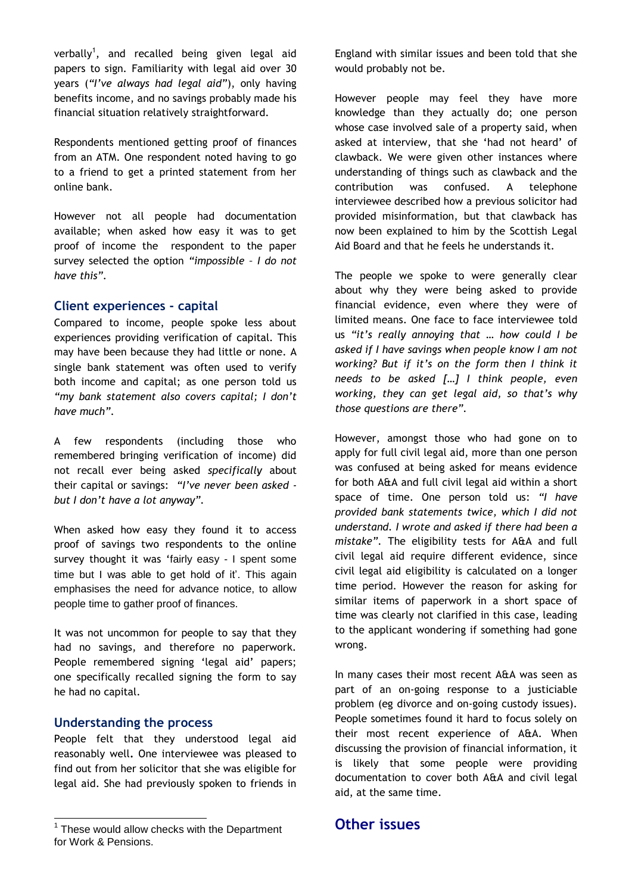verbally<sup>1</sup>, and recalled being given legal aid papers to sign*.* Familiarity with legal aid over 30 years (*"I've always had legal aid"*), only having benefits income, and no savings probably made his financial situation relatively straightforward.

Respondents mentioned getting proof of finances from an ATM. One respondent noted having to go to a friend to get a printed statement from her online bank.

However not all people had documentation available; when asked how easy it was to get proof of income the respondent to the paper survey selected the option *"impossible – I do not have this".*

#### **Client experiences - capital**

Compared to income, people spoke less about experiences providing verification of capital. This may have been because they had little or none. A single bank statement was often used to verify both income and capital; as one person told us *"my bank statement also covers capital; I don't have much".* 

A few respondents (including those who remembered bringing verification of income) did not recall ever being asked *specifically* about their capital or savings: *"I've never been asked but I don't have a lot anyway".*

When asked how easy they found it to access proof of savings two respondents to the online survey thought it was 'fairly easy - I spent some time but I was able to get hold of it'. This again emphasises the need for advance notice, to allow people time to gather proof of finances.

It was not uncommon for people to say that they had no savings, and therefore no paperwork. People remembered signing 'legal aid' papers; one specifically recalled signing the form to say he had no capital.

#### **Understanding the process**

People felt that they understood legal aid reasonably well**.** One interviewee was pleased to find out from her solicitor that she was eligible for legal aid. She had previously spoken to friends in England with similar issues and been told that she would probably not be.

However people may feel they have more knowledge than they actually do; one person whose case involved sale of a property said, when asked at interview, that she 'had not heard' of clawback. We were given other instances where understanding of things such as clawback and the contribution was confused. A telephone interviewee described how a previous solicitor had provided misinformation, but that clawback has now been explained to him by the Scottish Legal Aid Board and that he feels he understands it.

The people we spoke to were generally clear about why they were being asked to provide financial evidence, even where they were of limited means. One face to face interviewee told us *"it's really annoying that … how could I be asked if I have savings when people know I am not working? But if it's on the form then I think it needs to be asked […] I think people, even working, they can get legal aid, so that's why those questions are there".*

However, amongst those who had gone on to apply for full civil legal aid, more than one person was confused at being asked for means evidence for both A&A and full civil legal aid within a short space of time. One person told us: *"I have provided bank statements twice, which I did not understand. I wrote and asked if there had been a mistake".* The eligibility tests for A&A and full civil legal aid require different evidence, since civil legal aid eligibility is calculated on a longer time period. However the reason for asking for similar items of paperwork in a short space of time was clearly not clarified in this case, leading to the applicant wondering if something had gone wrong.

In many cases their most recent A&A was seen as part of an on-going response to a justiciable problem (eg divorce and on-going custody issues). People sometimes found it hard to focus solely on their most recent experience of A&A. When discussing the provision of financial information, it is likely that some people were providing documentation to cover both A&A and civil legal aid, at the same time.

# **Other issues**

 1 These would allow checks with the Department for Work & Pensions.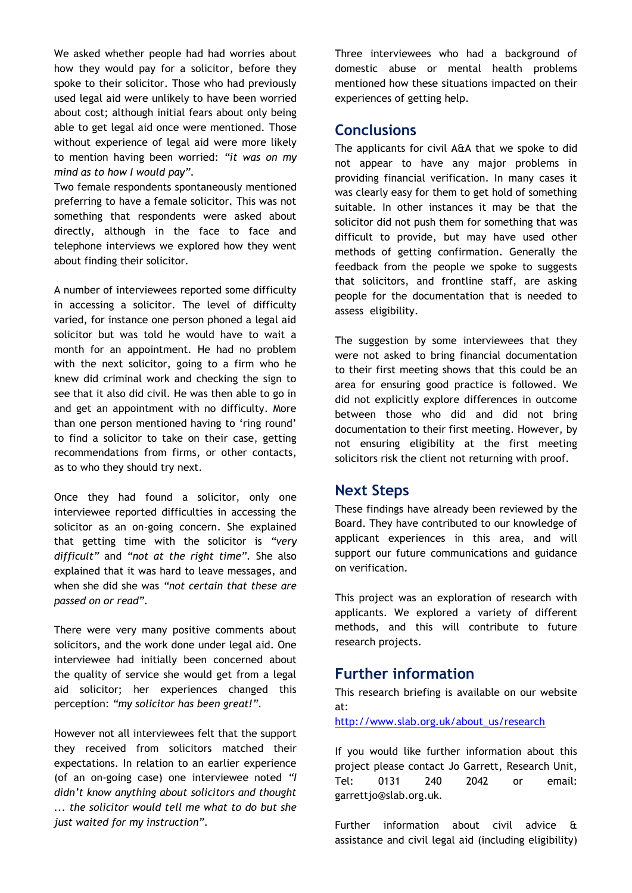We asked whether people had had worries about how they would pay for a solicitor, before they spoke to their solicitor. Those who had previously used legal aid were unlikely to have been worried about cost; although initial fears about only being able to get legal aid once were mentioned. Those without experience of legal aid were more likely to mention having been worried: *"it was on my mind as to how I would pay".* 

Two female respondents spontaneously mentioned preferring to have a female solicitor. This was not something that respondents were asked about directly, although in the face to face and telephone interviews we explored how they went about finding their solicitor.

A number of interviewees reported some difficulty in accessing a solicitor. The level of difficulty varied, for instance one person phoned a legal aid solicitor but was told he would have to wait a month for an appointment. He had no problem with the next solicitor, going to a firm who he knew did criminal work and checking the sign to see that it also did civil. He was then able to go in and get an appointment with no difficulty. More than one person mentioned having to 'ring round' to find a solicitor to take on their case, getting recommendations from firms, or other contacts, as to who they should try next.

Once they had found a solicitor, only one interviewee reported difficulties in accessing the solicitor as an on-going concern. She explained that getting time with the solicitor is *"very difficult"* and *"not at the right time".* She also explained that it was hard to leave messages, and when she did she was *"not certain that these are passed on or read".* 

There were very many positive comments about solicitors, and the work done under legal aid. One interviewee had initially been concerned about the quality of service she would get from a legal aid solicitor; her experiences changed this perception: *"my solicitor has been great!".*

However not all interviewees felt that the support they received from solicitors matched their expectations. In relation to an earlier experience (of an on-going case) one interviewee noted *"I didn't know anything about solicitors and thought ... the solicitor would tell me what to do but she just waited for my instruction".* 

Three interviewees who had a background of domestic abuse or mental health problems mentioned how these situations impacted on their experiences of getting help.

## **Conclusions**

The applicants for civil A&A that we spoke to did not appear to have any major problems in providing financial verification. In many cases it was clearly easy for them to get hold of something suitable. In other instances it may be that the solicitor did not push them for something that was difficult to provide, but may have used other methods of getting confirmation. Generally the feedback from the people we spoke to suggests that solicitors, and frontline staff, are asking people for the documentation that is needed to assess eligibility.

The suggestion by some interviewees that they were not asked to bring financial documentation to their first meeting shows that this could be an area for ensuring good practice is followed. We did not explicitly explore differences in outcome between those who did and did not bring documentation to their first meeting. However, by not ensuring eligibility at the first meeting solicitors risk the client not returning with proof.

## **Next Steps**

These findings have already been reviewed by the Board. They have contributed to our knowledge of applicant experiences in this area, and will support our future communications and guidance on verification.

This project was an exploration of research with applicants. We explored a variety of different methods, and this will contribute to future research projects.

## **Further information**

This research briefing is available on our website at:

[http://www.slab.org.uk/about\\_us/research](http://www.slab.org.uk/about_us/research)

If you would like further information about this project please contact Jo Garrett, Research Unit, Tel: 0131 240 2042 or email: garrettjo@slab.org.uk.

Further information about civil advice & assistance and civil legal aid (including eligibility)